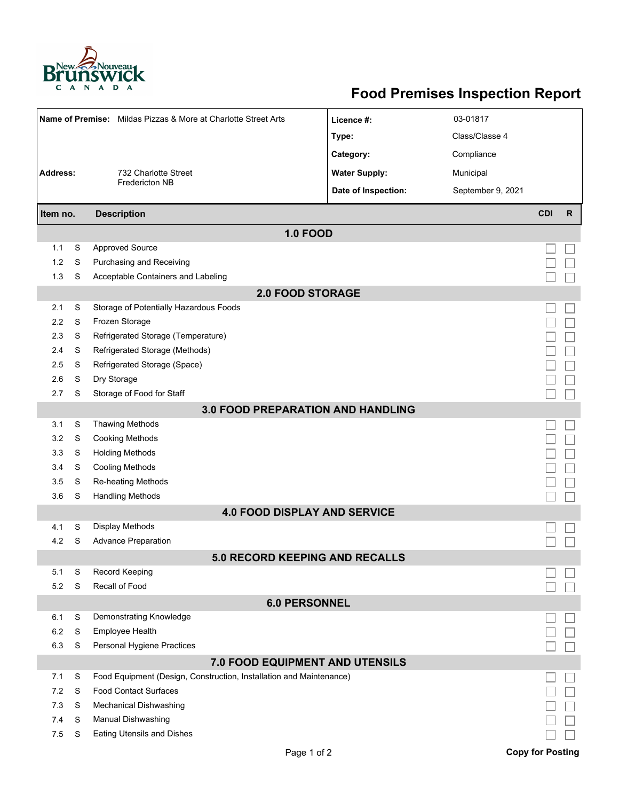

## **Food Premises Inspection Report**

|                                     |                                | Name of Premise: Mildas Pizzas & More at Charlotte Street Arts      | Licence #:           | 03-01817          |                         |    |  |  |  |  |
|-------------------------------------|--------------------------------|---------------------------------------------------------------------|----------------------|-------------------|-------------------------|----|--|--|--|--|
|                                     |                                |                                                                     | Type:                | Class/Classe 4    |                         |    |  |  |  |  |
|                                     |                                |                                                                     | Category:            | Compliance        |                         |    |  |  |  |  |
| <b>Address:</b>                     |                                | 732 Charlotte Street                                                | <b>Water Supply:</b> | Municipal         |                         |    |  |  |  |  |
|                                     |                                | <b>Fredericton NB</b>                                               | Date of Inspection:  | September 9, 2021 |                         |    |  |  |  |  |
|                                     |                                |                                                                     |                      |                   | <b>CDI</b>              |    |  |  |  |  |
|                                     | <b>Description</b><br>Item no. |                                                                     |                      |                   |                         | R. |  |  |  |  |
|                                     |                                | <b>1.0 FOOD</b>                                                     |                      |                   |                         |    |  |  |  |  |
| 1.1                                 | S                              | <b>Approved Source</b>                                              |                      |                   |                         |    |  |  |  |  |
| 1.2                                 | S                              | Purchasing and Receiving                                            |                      |                   |                         |    |  |  |  |  |
| 1.3                                 | S                              | Acceptable Containers and Labeling                                  |                      |                   |                         |    |  |  |  |  |
| <b>2.0 FOOD STORAGE</b>             |                                |                                                                     |                      |                   |                         |    |  |  |  |  |
| 2.1                                 | S                              | Storage of Potentially Hazardous Foods                              |                      |                   |                         |    |  |  |  |  |
| 2.2                                 | S                              | Frozen Storage                                                      |                      |                   |                         |    |  |  |  |  |
| 2.3                                 | S                              | Refrigerated Storage (Temperature)                                  |                      |                   |                         |    |  |  |  |  |
| 2.4                                 | S                              | Refrigerated Storage (Methods)                                      |                      |                   |                         |    |  |  |  |  |
| 2.5                                 | S                              | Refrigerated Storage (Space)                                        |                      |                   |                         |    |  |  |  |  |
| 2.6                                 | S                              | Dry Storage                                                         |                      |                   |                         |    |  |  |  |  |
| 2.7                                 | S                              | Storage of Food for Staff                                           |                      |                   |                         |    |  |  |  |  |
|                                     |                                | <b>3.0 FOOD PREPARATION AND HANDLING</b>                            |                      |                   |                         |    |  |  |  |  |
| 3.1                                 | S                              | <b>Thawing Methods</b>                                              |                      |                   |                         |    |  |  |  |  |
| 3.2                                 | S                              | <b>Cooking Methods</b>                                              |                      |                   |                         |    |  |  |  |  |
| 3.3                                 | S                              | <b>Holding Methods</b>                                              |                      |                   |                         |    |  |  |  |  |
| 3.4                                 | S                              | <b>Cooling Methods</b>                                              |                      |                   |                         |    |  |  |  |  |
| 3.5                                 | S                              | Re-heating Methods                                                  |                      |                   |                         |    |  |  |  |  |
| 3.6                                 | S                              | <b>Handling Methods</b>                                             |                      |                   |                         |    |  |  |  |  |
| <b>4.0 FOOD DISPLAY AND SERVICE</b> |                                |                                                                     |                      |                   |                         |    |  |  |  |  |
| 4.1                                 | S                              | Display Methods                                                     |                      |                   |                         |    |  |  |  |  |
| 4.2                                 | S                              | <b>Advance Preparation</b>                                          |                      |                   |                         |    |  |  |  |  |
|                                     |                                | 5.0 RECORD KEEPING AND RECALLS                                      |                      |                   |                         |    |  |  |  |  |
| 5.1                                 | S                              | <b>Record Keeping</b>                                               |                      |                   |                         |    |  |  |  |  |
| 5.2                                 | S                              | Recall of Food                                                      |                      |                   |                         |    |  |  |  |  |
| <b>6.0 PERSONNEL</b>                |                                |                                                                     |                      |                   |                         |    |  |  |  |  |
| 6.1                                 | S                              | Demonstrating Knowledge                                             |                      |                   |                         |    |  |  |  |  |
| 6.2                                 | S                              | Employee Health                                                     |                      |                   |                         |    |  |  |  |  |
| 6.3                                 | S                              | Personal Hygiene Practices                                          |                      |                   |                         |    |  |  |  |  |
|                                     |                                | 7.0 FOOD EQUIPMENT AND UTENSILS                                     |                      |                   |                         |    |  |  |  |  |
| 7.1                                 | S                              | Food Equipment (Design, Construction, Installation and Maintenance) |                      |                   |                         |    |  |  |  |  |
| 7.2                                 | S                              | <b>Food Contact Surfaces</b>                                        |                      |                   |                         |    |  |  |  |  |
| 7.3                                 | S                              | Mechanical Dishwashing                                              |                      |                   |                         |    |  |  |  |  |
| 7.4                                 | S                              | Manual Dishwashing                                                  |                      |                   |                         |    |  |  |  |  |
| 7.5                                 | S                              | <b>Eating Utensils and Dishes</b>                                   |                      |                   |                         |    |  |  |  |  |
|                                     |                                | Page 1 of 2                                                         |                      |                   | <b>Copy for Posting</b> |    |  |  |  |  |